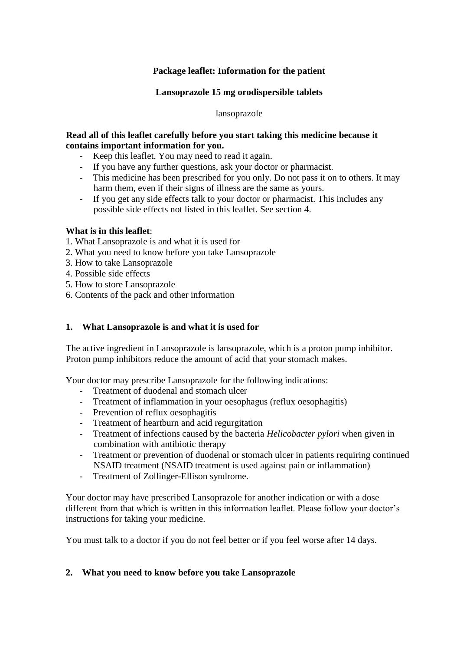# **Package leaflet: Information for the patient**

## **Lansoprazole 15 mg orodispersible tablets**

lansoprazole

### **Read all of this leaflet carefully before you start taking this medicine because it contains important information for you.**

- Keep this leaflet. You may need to read it again.
- If you have any further questions, ask your doctor or pharmacist.
- This medicine has been prescribed for you only. Do not pass it on to others. It may harm them, even if their signs of illness are the same as yours.
- If you get any side effects talk to your doctor or pharmacist. This includes any possible side effects not listed in this leaflet. See section 4.

### **What is in this leaflet**:

- 1. What Lansoprazole is and what it is used for
- 2. What you need to know before you take Lansoprazole
- 3. How to take Lansoprazole
- 4. Possible side effects
- 5. How to store Lansoprazole
- 6. Contents of the pack and other information

## **1. What Lansoprazole is and what it is used for**

The active ingredient in Lansoprazole is lansoprazole, which is a proton pump inhibitor. Proton pump inhibitors reduce the amount of acid that your stomach makes.

Your doctor may prescribe Lansoprazole for the following indications:

- Treatment of duodenal and stomach ulcer
- Treatment of inflammation in your oesophagus (reflux oesophagitis)
- Prevention of reflux oesophagitis
- Treatment of heartburn and acid regurgitation
- Treatment of infections caused by the bacteria *Helicobacter pylori* when given in combination with antibiotic therapy
- Treatment or prevention of duodenal or stomach ulcer in patients requiring continued NSAID treatment (NSAID treatment is used against pain or inflammation)
- Treatment of Zollinger-Ellison syndrome.

Your doctor may have prescribed Lansoprazole for another indication or with a dose different from that which is written in this information leaflet. Please follow your doctor's instructions for taking your medicine.

You must talk to a doctor if you do not feel better or if you feel worse after 14 days.

### **2. What you need to know before you take Lansoprazole**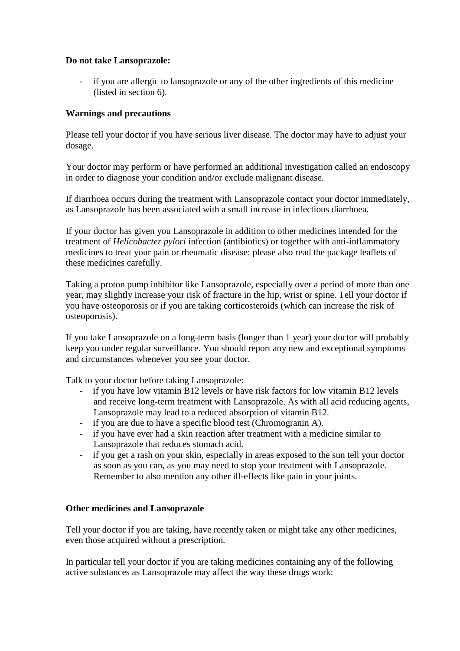## **Do not take Lansoprazole:**

- if you are allergic to lansoprazole or any of the other ingredients of this medicine (listed in section 6).

## **Warnings and precautions**

Please tell your doctor if you have serious liver disease. The doctor may have to adjust your dosage.

Your doctor may perform or have performed an additional investigation called an endoscopy in order to diagnose your condition and/or exclude malignant disease.

If diarrhoea occurs during the treatment with Lansoprazole contact your doctor immediately, as Lansoprazole has been associated with a small increase in infectious diarrhoea.

If your doctor has given you Lansoprazole in addition to other medicines intended for the treatment of *Helicobacter pylori* infection (antibiotics) or together with anti-inflammatory medicines to treat your pain or rheumatic disease: please also read the package leaflets of these medicines carefully.

Taking a proton pump inhibitor like Lansoprazole, especially over a period of more than one year, may slightly increase your risk of fracture in the hip, wrist or spine. Tell your doctor if you have osteoporosis or if you are taking corticosteroids (which can increase the risk of osteoporosis).

If you take Lansoprazole on a long-term basis (longer than 1 year) your doctor will probably keep you under regular surveillance. You should report any new and exceptional symptoms and circumstances whenever you see your doctor.

Talk to your doctor before taking Lansoprazole:

- if you have low vitamin B12 levels or have risk factors for low vitamin B12 levels and receive long-term treatment with Lansoprazole. As with all acid reducing agents, Lansoprazole may lead to a reduced absorption of vitamin B12.
- if you are due to have a specific blood test (Chromogranin A).
- if you have ever had a skin reaction after treatment with a medicine similar to Lansoprazole that reduces stomach acid.
- if you get a rash on your skin, especially in areas exposed to the sun tell your doctor as soon as you can, as you may need to stop your treatment with Lansoprazole. Remember to also mention any other ill-effects like pain in your joints.

### **Other medicines and Lansoprazole**

Tell your doctor if you are taking, have recently taken or might take any other medicines, even those acquired without a prescription.

In particular tell your doctor if you are taking medicines containing any of the following active substances as Lansoprazole may affect the way these drugs work: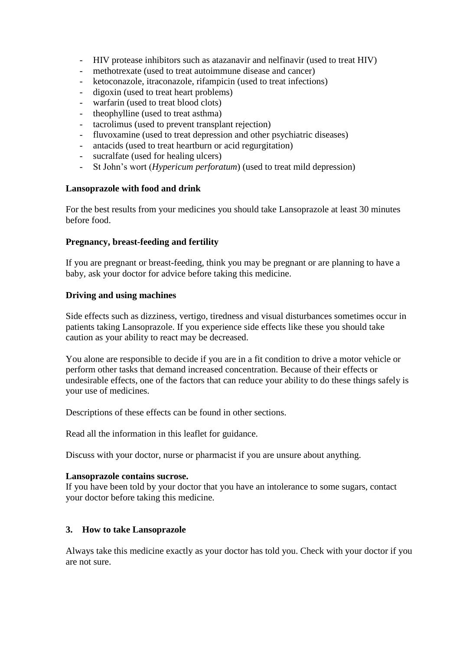- HIV protease inhibitors such as atazanavir and nelfinavir (used to treat HIV)
- methotrexate (used to treat autoimmune disease and cancer)
- ketoconazole, itraconazole, rifampicin (used to treat infections)
- digoxin (used to treat heart problems)
- warfarin (used to treat blood clots)
- theophylline (used to treat asthma)
- tacrolimus (used to prevent transplant rejection)
- fluvoxamine (used to treat depression and other psychiatric diseases)
- antacids (used to treat heartburn or acid regurgitation)
- sucralfate (used for healing ulcers)
- St John's wort (*Hypericum perforatum*) (used to treat mild depression)

### **Lansoprazole with food and drink**

For the best results from your medicines you should take Lansoprazole at least 30 minutes before food.

### **Pregnancy, breast-feeding and fertility**

If you are pregnant or breast-feeding, think you may be pregnant or are planning to have a baby, ask your doctor for advice before taking this medicine.

### **Driving and using machines**

Side effects such as dizziness, vertigo, tiredness and visual disturbances sometimes occur in patients taking Lansoprazole. If you experience side effects like these you should take caution as your ability to react may be decreased.

You alone are responsible to decide if you are in a fit condition to drive a motor vehicle or perform other tasks that demand increased concentration. Because of their effects or undesirable effects, one of the factors that can reduce your ability to do these things safely is your use of medicines.

Descriptions of these effects can be found in other sections.

Read all the information in this leaflet for guidance.

Discuss with your doctor, nurse or pharmacist if you are unsure about anything.

### **Lansoprazole contains sucrose.**

If you have been told by your doctor that you have an intolerance to some sugars, contact your doctor before taking this medicine.

### **3. How to take Lansoprazole**

Always take this medicine exactly as your doctor has told you. Check with your doctor if you are not sure.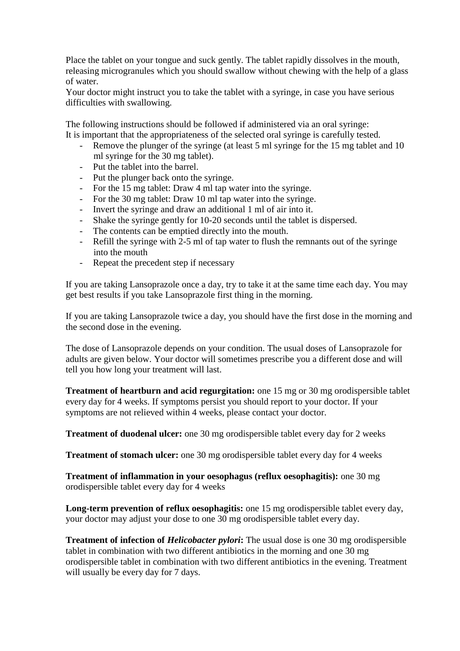Place the tablet on your tongue and suck gently. The tablet rapidly dissolves in the mouth, releasing microgranules which you should swallow without chewing with the help of a glass of water.

Your doctor might instruct you to take the tablet with a syringe, in case you have serious difficulties with swallowing.

The following instructions should be followed if administered via an oral syringe: It is important that the appropriateness of the selected oral syringe is carefully tested.

- Remove the plunger of the syringe (at least 5 ml syringe for the 15 mg tablet and 10 ml syringe for the 30 mg tablet).
- Put the tablet into the barrel.
- Put the plunger back onto the syringe.
- For the 15 mg tablet: Draw 4 ml tap water into the syringe.
- For the 30 mg tablet: Draw 10 ml tap water into the syringe.
- Invert the syringe and draw an additional 1 ml of air into it.
- Shake the syringe gently for 10-20 seconds until the tablet is dispersed.
- The contents can be emptied directly into the mouth.
- Refill the syringe with 2-5 ml of tap water to flush the remnants out of the syringe into the mouth
- Repeat the precedent step if necessary

If you are taking Lansoprazole once a day, try to take it at the same time each day. You may get best results if you take Lansoprazole first thing in the morning.

If you are taking Lansoprazole twice a day, you should have the first dose in the morning and the second dose in the evening.

The dose of Lansoprazole depends on your condition. The usual doses of Lansoprazole for adults are given below. Your doctor will sometimes prescribe you a different dose and will tell you how long your treatment will last.

**Treatment of heartburn and acid regurgitation:** one 15 mg or 30 mg orodispersible tablet every day for 4 weeks. If symptoms persist you should report to your doctor. If your symptoms are not relieved within 4 weeks, please contact your doctor.

**Treatment of duodenal ulcer:** one 30 mg orodispersible tablet every day for 2 weeks

**Treatment of stomach ulcer:** one 30 mg orodispersible tablet every day for 4 weeks

**Treatment of inflammation in your oesophagus (reflux oesophagitis):** one 30 mg orodispersible tablet every day for 4 weeks

**Long-term prevention of reflux oesophagitis:** one 15 mg orodispersible tablet every day, your doctor may adjust your dose to one 30 mg orodispersible tablet every day.

**Treatment of infection of** *Helicobacter pylori***:** The usual dose is one 30 mg orodispersible tablet in combination with two different antibiotics in the morning and one 30 mg orodispersible tablet in combination with two different antibiotics in the evening. Treatment will usually be every day for 7 days.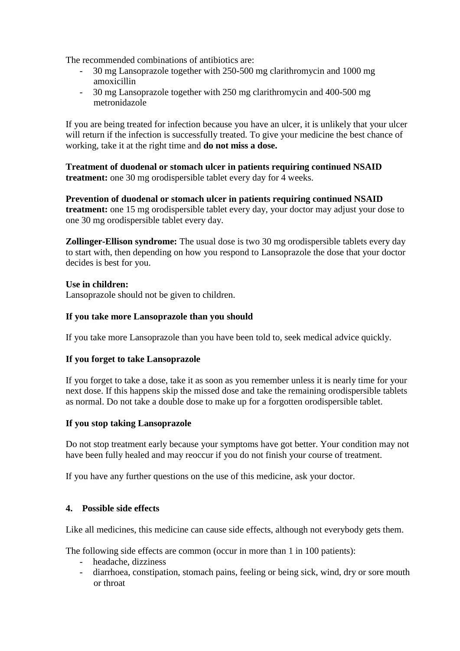The recommended combinations of antibiotics are:

- 30 mg Lansoprazole together with 250-500 mg clarithromycin and 1000 mg amoxicillin
- 30 mg Lansoprazole together with 250 mg clarithromycin and 400-500 mg metronidazole

If you are being treated for infection because you have an ulcer, it is unlikely that your ulcer will return if the infection is successfully treated. To give your medicine the best chance of working, take it at the right time and **do not miss a dose.** 

**Treatment of duodenal or stomach ulcer in patients requiring continued NSAID treatment:** one 30 mg orodispersible tablet every day for 4 weeks.

**Prevention of duodenal or stomach ulcer in patients requiring continued NSAID treatment:** one 15 mg orodispersible tablet every day, your doctor may adjust your dose to one 30 mg orodispersible tablet every day.

**Zollinger-Ellison syndrome:** The usual dose is two 30 mg orodispersible tablets every day to start with, then depending on how you respond to Lansoprazole the dose that your doctor decides is best for you.

**Use in children:**  Lansoprazole should not be given to children.

# **If you take more Lansoprazole than you should**

If you take more Lansoprazole than you have been told to, seek medical advice quickly.

### **If you forget to take Lansoprazole**

If you forget to take a dose, take it as soon as you remember unless it is nearly time for your next dose. If this happens skip the missed dose and take the remaining orodispersible tablets as normal. Do not take a double dose to make up for a forgotten orodispersible tablet.

### **If you stop taking Lansoprazole**

Do not stop treatment early because your symptoms have got better. Your condition may not have been fully healed and may reoccur if you do not finish your course of treatment.

If you have any further questions on the use of this medicine, ask your doctor.

### **4. Possible side effects**

Like all medicines, this medicine can cause side effects, although not everybody gets them.

The following side effects are common (occur in more than 1 in 100 patients):

- headache, dizziness
- diarrhoea, constipation, stomach pains, feeling or being sick, wind, dry or sore mouth or throat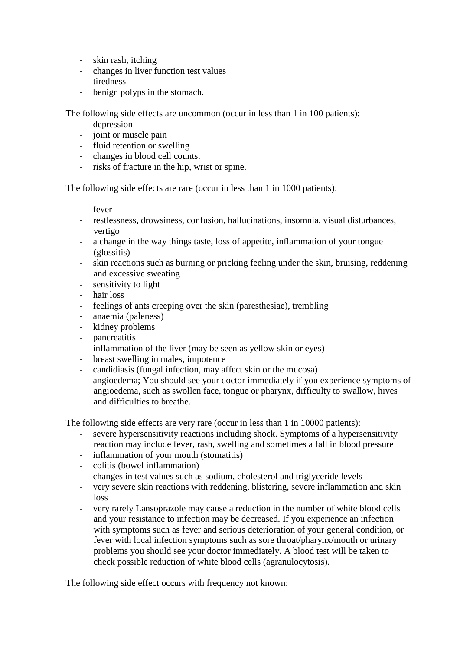- skin rash, itching
- changes in liver function test values
- tiredness
- benign polyps in the stomach.

The following side effects are uncommon (occur in less than 1 in 100 patients):

- depression
- joint or muscle pain
- fluid retention or swelling
- changes in blood cell counts.
- risks of fracture in the hip, wrist or spine.

The following side effects are rare (occur in less than 1 in 1000 patients):

- fever
- restlessness, drowsiness, confusion, hallucinations, insomnia, visual disturbances, vertigo
- a change in the way things taste, loss of appetite, inflammation of your tongue (glossitis)
- skin reactions such as burning or pricking feeling under the skin, bruising, reddening and excessive sweating
- sensitivity to light
- hair loss
- feelings of ants creeping over the skin (paresthesiae), trembling
- anaemia (paleness)
- kidney problems
- pancreatitis
- inflammation of the liver (may be seen as yellow skin or eyes)
- breast swelling in males, impotence
- candidiasis (fungal infection, may affect skin or the mucosa)
- angioedema; You should see your doctor immediately if you experience symptoms of angioedema, such as swollen face, tongue or pharynx, difficulty to swallow, hives and difficulties to breathe.

The following side effects are very rare (occur in less than 1 in 10000 patients):

- severe hypersensitivity reactions including shock. Symptoms of a hypersensitivity reaction may include fever, rash, swelling and sometimes a fall in blood pressure
- inflammation of your mouth (stomatitis)
- colitis (bowel inflammation)
- changes in test values such as sodium, cholesterol and triglyceride levels
- very severe skin reactions with reddening, blistering, severe inflammation and skin loss
- very rarely Lansoprazole may cause a reduction in the number of white blood cells and your resistance to infection may be decreased. If you experience an infection with symptoms such as fever and serious deterioration of your general condition, or fever with local infection symptoms such as sore throat/pharynx/mouth or urinary problems you should see your doctor immediately. A blood test will be taken to check possible reduction of white blood cells (agranulocytosis).

The following side effect occurs with frequency not known: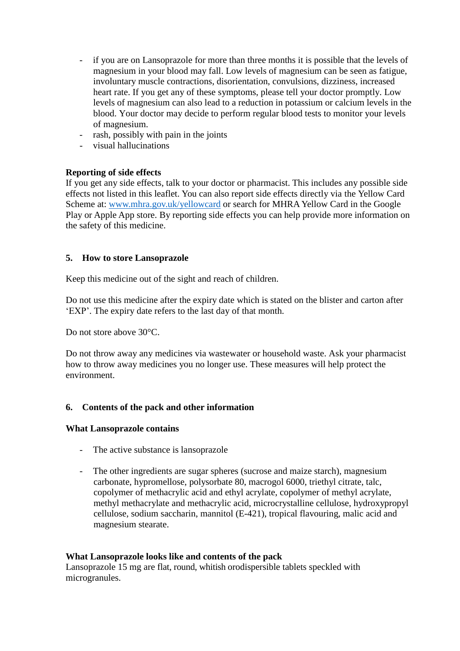- if you are on Lansoprazole for more than three months it is possible that the levels of magnesium in your blood may fall. Low levels of magnesium can be seen as fatigue, involuntary muscle contractions, disorientation, convulsions, dizziness, increased heart rate. If you get any of these symptoms, please tell your doctor promptly. Low levels of magnesium can also lead to a reduction in potassium or calcium levels in the blood. Your doctor may decide to perform regular blood tests to monitor your levels of magnesium.
- rash, possibly with pain in the joints
- visual hallucinations

# **Reporting of side effects**

If you get any side effects, talk to your doctor or pharmacist. This includes any possible side effects not listed in this leaflet. You can also report side effects directly via the Yellow Card Scheme at: [www.mhra.gov.uk/yellowcard](http://www.mhra.gov.uk/yellowcard) or search for MHRA Yellow Card in the Google Play or Apple App store. By reporting side effects you can help provide more information on the safety of this medicine.

# **5. How to store Lansoprazole**

Keep this medicine out of the sight and reach of children.

Do not use this medicine after the expiry date which is stated on the blister and carton after 'EXP'. The expiry date refers to the last day of that month.

Do not store above 30°C.

Do not throw away any medicines via wastewater or household waste. Ask your pharmacist how to throw away medicines you no longer use. These measures will help protect the environment.

### **6. Contents of the pack and other information**

### **What Lansoprazole contains**

- The active substance is lansoprazole
- The other ingredients are sugar spheres (sucrose and maize starch), magnesium carbonate, hypromellose, polysorbate 80, macrogol 6000, triethyl citrate, talc, copolymer of methacrylic acid and ethyl acrylate, copolymer of methyl acrylate, methyl methacrylate and methacrylic acid, microcrystalline cellulose, hydroxypropyl cellulose, sodium saccharin, mannitol (E-421), tropical flavouring, malic acid and magnesium stearate.

### **What Lansoprazole looks like and contents of the pack**

Lansoprazole 15 mg are flat, round, whitish orodispersible tablets speckled with microgranules.